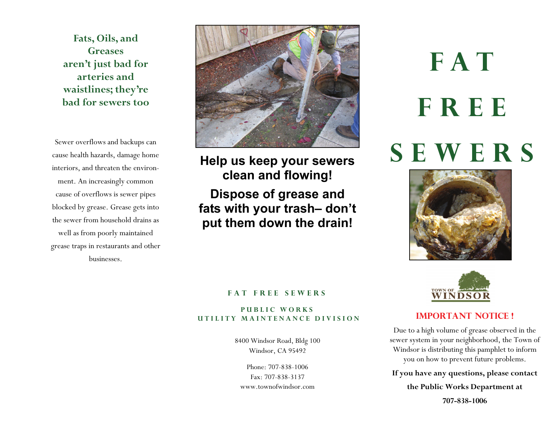**Fats, Oils, and Greases aren't just bad for arteries and waistlines; they're bad for sewers too** 

Sewer overflows and backups can cause health hazards, damage home interiors, and threaten the environment. An increasingly common cause of overflows is sewer pipes blocked by grease. Grease gets into the sewer from household drains as well as from poorly maintained grease traps in restaurants and other businesses.



**Help us keep your sewers clean and flowing! Dispose of grease and fats with your trash– don't put them down the drain!** 

#### **FAT FREE SEWERS**

#### **PUBLIC WORKS UTILITY MAINTENANCE DIVISION IMPORTANT NOTICE !**

8400 Windsor Road, Bldg 100 Windsor, CA 95492

Phone: 707-838-1006 Fax: 707-838-3137 www.townofwindsor.com

# **FAT FREE SEWERS**





Due to a high volume of grease observed in the sewer system in your neighborhood, the Town of Windsor is distributing this pamphlet to inform you on how to prevent future problems.

**If you have any questions, please contact the Public Works Department at** 

**707-838-1006**